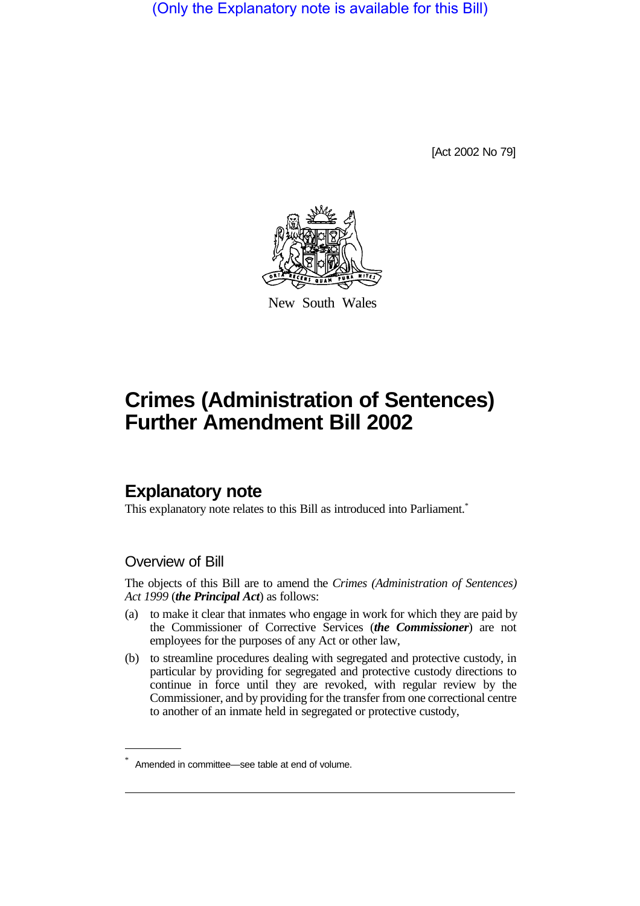(Only the Explanatory note is available for this Bill)

[Act 2002 No 79]



New South Wales

# **Crimes (Administration of Sentences) Further Amendment Bill 2002**

# **Explanatory note**

This explanatory note relates to this Bill as introduced into Parliament.<sup>\*</sup>

### Overview of Bill

The objects of this Bill are to amend the *Crimes (Administration of Sentences) Act 1999* (*the Principal Act*) as follows:

- (a) to make it clear that inmates who engage in work for which they are paid by the Commissioner of Corrective Services (*the Commissioner*) are not employees for the purposes of any Act or other law,
- (b) to streamline procedures dealing with segregated and protective custody, in particular by providing for segregated and protective custody directions to continue in force until they are revoked, with regular review by the Commissioner, and by providing for the transfer from one correctional centre to another of an inmate held in segregated or protective custody,

Amended in committee—see table at end of volume.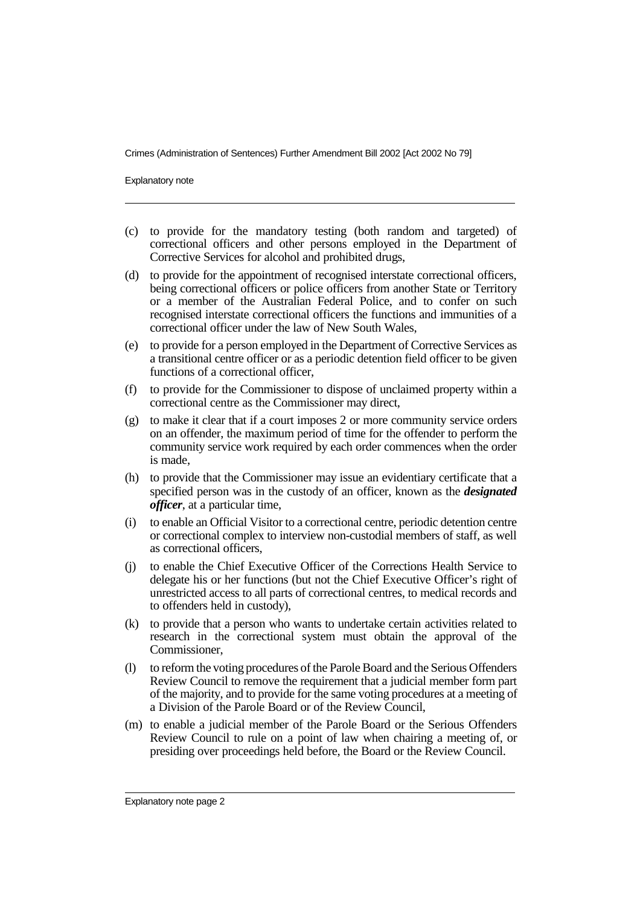Explanatory note

- (c) to provide for the mandatory testing (both random and targeted) of correctional officers and other persons employed in the Department of Corrective Services for alcohol and prohibited drugs,
- (d) to provide for the appointment of recognised interstate correctional officers, being correctional officers or police officers from another State or Territory or a member of the Australian Federal Police, and to confer on such recognised interstate correctional officers the functions and immunities of a correctional officer under the law of New South Wales,
- (e) to provide for a person employed in the Department of Corrective Services as a transitional centre officer or as a periodic detention field officer to be given functions of a correctional officer,
- (f) to provide for the Commissioner to dispose of unclaimed property within a correctional centre as the Commissioner may direct,
- (g) to make it clear that if a court imposes 2 or more community service orders on an offender, the maximum period of time for the offender to perform the community service work required by each order commences when the order is made,
- (h) to provide that the Commissioner may issue an evidentiary certificate that a specified person was in the custody of an officer, known as the *designated officer*, at a particular time,
- (i) to enable an Official Visitor to a correctional centre, periodic detention centre or correctional complex to interview non-custodial members of staff, as well as correctional officers,
- (j) to enable the Chief Executive Officer of the Corrections Health Service to delegate his or her functions (but not the Chief Executive Officer's right of unrestricted access to all parts of correctional centres, to medical records and to offenders held in custody),
- (k) to provide that a person who wants to undertake certain activities related to research in the correctional system must obtain the approval of the Commissioner,
- (l) to reform the voting procedures of the Parole Board and the Serious Offenders Review Council to remove the requirement that a judicial member form part of the majority, and to provide for the same voting procedures at a meeting of a Division of the Parole Board or of the Review Council,
- (m) to enable a judicial member of the Parole Board or the Serious Offenders Review Council to rule on a point of law when chairing a meeting of, or presiding over proceedings held before, the Board or the Review Council.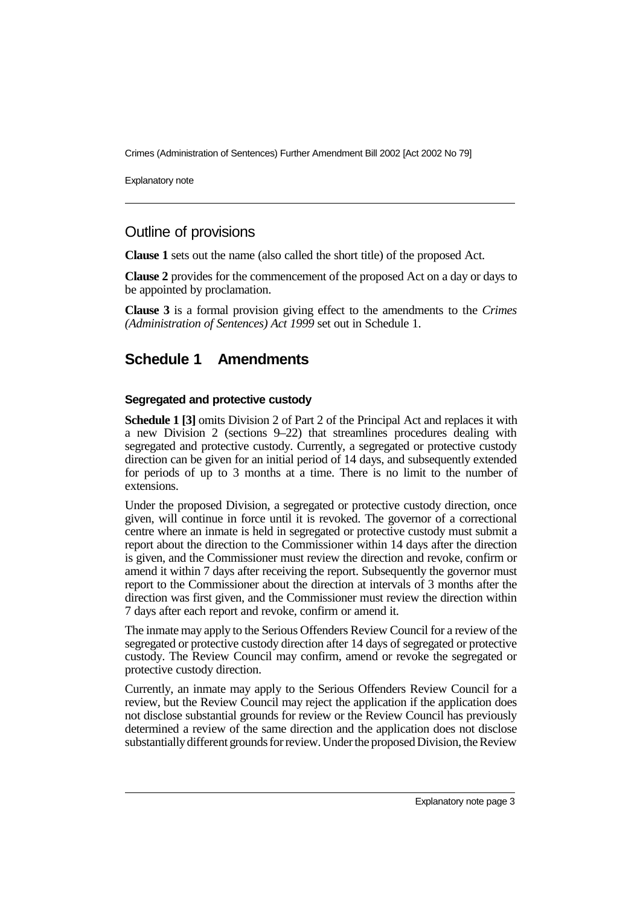Explanatory note

### Outline of provisions

**Clause 1** sets out the name (also called the short title) of the proposed Act.

**Clause 2** provides for the commencement of the proposed Act on a day or days to be appointed by proclamation.

**Clause 3** is a formal provision giving effect to the amendments to the *Crimes (Administration of Sentences) Act 1999* set out in Schedule 1.

## **Schedule 1 Amendments**

#### **Segregated and protective custody**

**Schedule 1 [3]** omits Division 2 of Part 2 of the Principal Act and replaces it with a new Division 2 (sections 9–22) that streamlines procedures dealing with segregated and protective custody. Currently, a segregated or protective custody direction can be given for an initial period of 14 days, and subsequently extended for periods of up to 3 months at a time. There is no limit to the number of extensions.

Under the proposed Division, a segregated or protective custody direction, once given, will continue in force until it is revoked. The governor of a correctional centre where an inmate is held in segregated or protective custody must submit a report about the direction to the Commissioner within 14 days after the direction is given, and the Commissioner must review the direction and revoke, confirm or amend it within 7 days after receiving the report. Subsequently the governor must report to the Commissioner about the direction at intervals of 3 months after the direction was first given, and the Commissioner must review the direction within 7 days after each report and revoke, confirm or amend it.

The inmate may apply to the Serious Offenders Review Council for a review of the segregated or protective custody direction after 14 days of segregated or protective custody. The Review Council may confirm, amend or revoke the segregated or protective custody direction.

Currently, an inmate may apply to the Serious Offenders Review Council for a review, but the Review Council may reject the application if the application does not disclose substantial grounds for review or the Review Council has previously determined a review of the same direction and the application does not disclose substantiallydifferent grounds for review. Under the proposed Division, the Review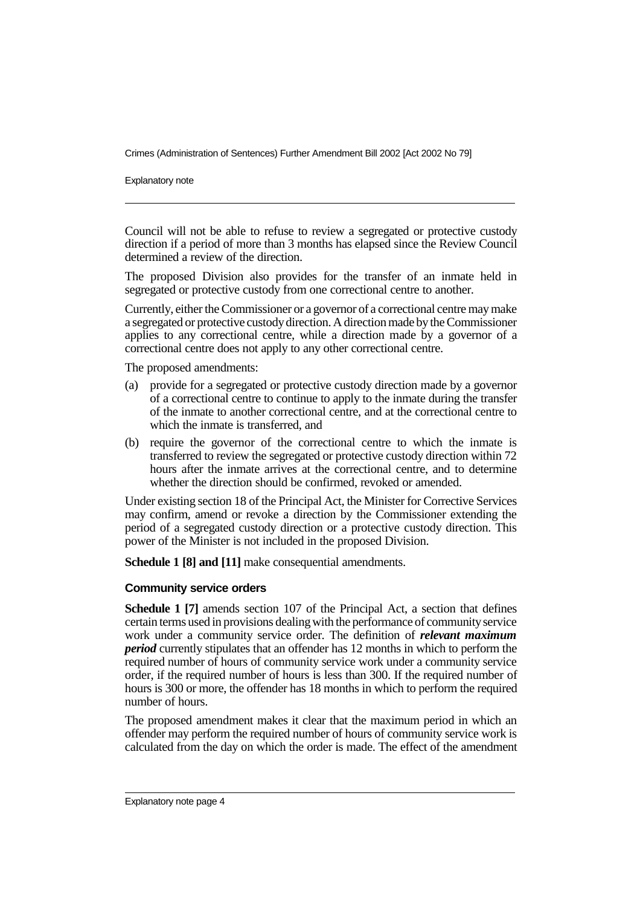Explanatory note

Council will not be able to refuse to review a segregated or protective custody direction if a period of more than 3 months has elapsed since the Review Council determined a review of the direction.

The proposed Division also provides for the transfer of an inmate held in segregated or protective custody from one correctional centre to another.

Currently, either the Commissioner or a governor of a correctional centre may make a segregated or protective custodydirection. A direction made bythe Commissioner applies to any correctional centre, while a direction made by a governor of a correctional centre does not apply to any other correctional centre.

The proposed amendments:

- (a) provide for a segregated or protective custody direction made by a governor of a correctional centre to continue to apply to the inmate during the transfer of the inmate to another correctional centre, and at the correctional centre to which the inmate is transferred, and
- (b) require the governor of the correctional centre to which the inmate is transferred to review the segregated or protective custody direction within 72 hours after the inmate arrives at the correctional centre, and to determine whether the direction should be confirmed, revoked or amended.

Under existing section 18 of the Principal Act, the Minister for Corrective Services may confirm, amend or revoke a direction by the Commissioner extending the period of a segregated custody direction or a protective custody direction. This power of the Minister is not included in the proposed Division.

**Schedule 1 [8] and [11]** make consequential amendments.

#### **Community service orders**

**Schedule 1 [7]** amends section 107 of the Principal Act, a section that defines certain terms used in provisions dealing with the performance of communityservice work under a community service order. The definition of *relevant maximum period* currently stipulates that an offender has 12 months in which to perform the required number of hours of community service work under a community service order, if the required number of hours is less than 300. If the required number of hours is 300 or more, the offender has 18 months in which to perform the required number of hours.

The proposed amendment makes it clear that the maximum period in which an offender may perform the required number of hours of community service work is calculated from the day on which the order is made. The effect of the amendment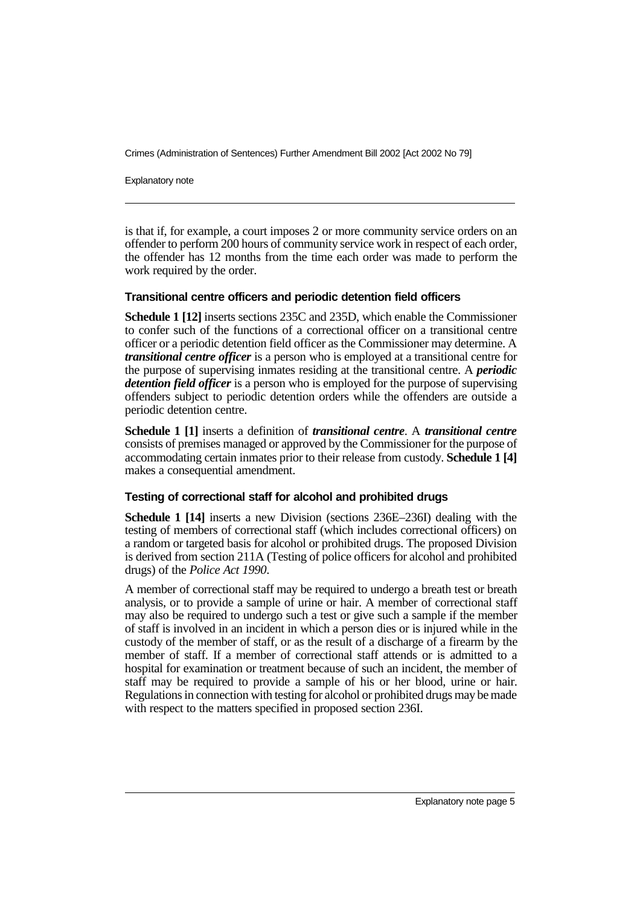Explanatory note

is that if, for example, a court imposes 2 or more community service orders on an offender to perform 200 hours of community service work in respect of each order, the offender has 12 months from the time each order was made to perform the work required by the order.

#### **Transitional centre officers and periodic detention field officers**

**Schedule 1 [12]** inserts sections 235C and 235D, which enable the Commissioner to confer such of the functions of a correctional officer on a transitional centre officer or a periodic detention field officer as the Commissioner may determine. A *transitional centre officer* is a person who is employed at a transitional centre for the purpose of supervising inmates residing at the transitional centre. A *periodic detention field officer* is a person who is employed for the purpose of supervising offenders subject to periodic detention orders while the offenders are outside a periodic detention centre.

**Schedule 1 [1]** inserts a definition of *transitional centre*. A *transitional centre* consists of premises managed or approved by the Commissioner for the purpose of accommodating certain inmates prior to their release from custody. **Schedule 1 [4]** makes a consequential amendment.

#### **Testing of correctional staff for alcohol and prohibited drugs**

**Schedule 1 [14]** inserts a new Division (sections 236E–236I) dealing with the testing of members of correctional staff (which includes correctional officers) on a random or targeted basis for alcohol or prohibited drugs. The proposed Division is derived from section 211A (Testing of police officers for alcohol and prohibited drugs) of the *Police Act 1990*.

A member of correctional staff may be required to undergo a breath test or breath analysis, or to provide a sample of urine or hair. A member of correctional staff may also be required to undergo such a test or give such a sample if the member of staff is involved in an incident in which a person dies or is injured while in the custody of the member of staff, or as the result of a discharge of a firearm by the member of staff. If a member of correctional staff attends or is admitted to a hospital for examination or treatment because of such an incident, the member of staff may be required to provide a sample of his or her blood, urine or hair. Regulations in connection with testing for alcohol or prohibited drugs may be made with respect to the matters specified in proposed section 236I.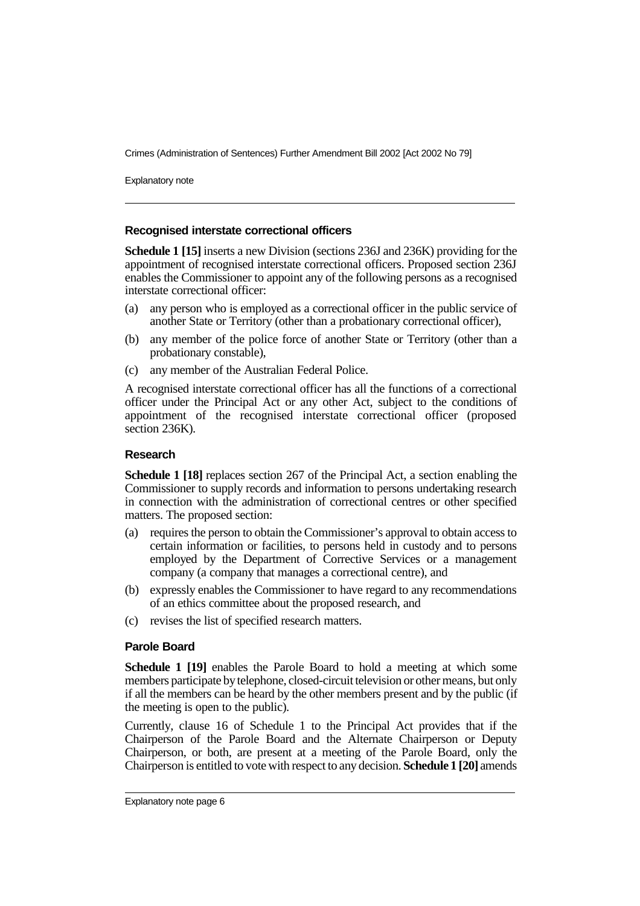Explanatory note

#### **Recognised interstate correctional officers**

**Schedule 1 [15]** inserts a new Division (sections 236J and 236K) providing for the appointment of recognised interstate correctional officers. Proposed section 236J enables the Commissioner to appoint any of the following persons as a recognised interstate correctional officer:

- (a) any person who is employed as a correctional officer in the public service of another State or Territory (other than a probationary correctional officer),
- (b) any member of the police force of another State or Territory (other than a probationary constable),
- (c) any member of the Australian Federal Police.

A recognised interstate correctional officer has all the functions of a correctional officer under the Principal Act or any other Act, subject to the conditions of appointment of the recognised interstate correctional officer (proposed section 236K).

#### **Research**

**Schedule 1 [18]** replaces section 267 of the Principal Act, a section enabling the Commissioner to supply records and information to persons undertaking research in connection with the administration of correctional centres or other specified matters. The proposed section:

- (a) requires the person to obtain the Commissioner's approval to obtain access to certain information or facilities, to persons held in custody and to persons employed by the Department of Corrective Services or a management company (a company that manages a correctional centre), and
- (b) expressly enables the Commissioner to have regard to any recommendations of an ethics committee about the proposed research, and
- (c) revises the list of specified research matters.

#### **Parole Board**

**Schedule 1 [19]** enables the Parole Board to hold a meeting at which some members participate by telephone, closed-circuit television or other means, but only if all the members can be heard by the other members present and by the public (if the meeting is open to the public).

Currently, clause 16 of Schedule 1 to the Principal Act provides that if the Chairperson of the Parole Board and the Alternate Chairperson or Deputy Chairperson, or both, are present at a meeting of the Parole Board, only the Chairperson is entitled to vote with respect to any decision. **Schedule 1 [20]** amends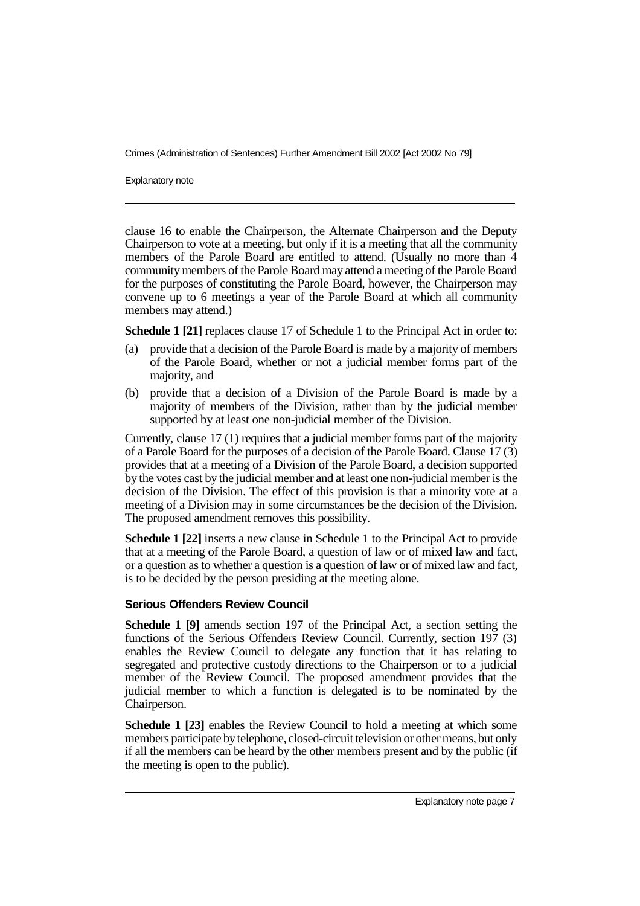Explanatory note

clause 16 to enable the Chairperson, the Alternate Chairperson and the Deputy Chairperson to vote at a meeting, but only if it is a meeting that all the community members of the Parole Board are entitled to attend. (Usually no more than 4 community members of the Parole Board may attend a meeting of the Parole Board for the purposes of constituting the Parole Board, however, the Chairperson may convene up to 6 meetings a year of the Parole Board at which all community members may attend.)

**Schedule 1 [21]** replaces clause 17 of Schedule 1 to the Principal Act in order to:

- (a) provide that a decision of the Parole Board is made by a majority of members of the Parole Board, whether or not a judicial member forms part of the majority, and
- (b) provide that a decision of a Division of the Parole Board is made by a majority of members of the Division, rather than by the judicial member supported by at least one non-judicial member of the Division.

Currently, clause 17 (1) requires that a judicial member forms part of the majority of a Parole Board for the purposes of a decision of the Parole Board. Clause 17 (3) provides that at a meeting of a Division of the Parole Board, a decision supported by the votes cast by the judicial member and at least one non-judicial member is the decision of the Division. The effect of this provision is that a minority vote at a meeting of a Division may in some circumstances be the decision of the Division. The proposed amendment removes this possibility.

**Schedule 1 [22]** inserts a new clause in Schedule 1 to the Principal Act to provide that at a meeting of the Parole Board, a question of law or of mixed law and fact, or a question as to whether a question is a question of law or of mixed law and fact, is to be decided by the person presiding at the meeting alone.

#### **Serious Offenders Review Council**

**Schedule 1 [9]** amends section 197 of the Principal Act, a section setting the functions of the Serious Offenders Review Council. Currently, section 197 (3) enables the Review Council to delegate any function that it has relating to segregated and protective custody directions to the Chairperson or to a judicial member of the Review Council. The proposed amendment provides that the judicial member to which a function is delegated is to be nominated by the Chairperson.

**Schedule 1 [23]** enables the Review Council to hold a meeting at which some members participate by telephone, closed-circuit television or other means, but only if all the members can be heard by the other members present and by the public (if the meeting is open to the public).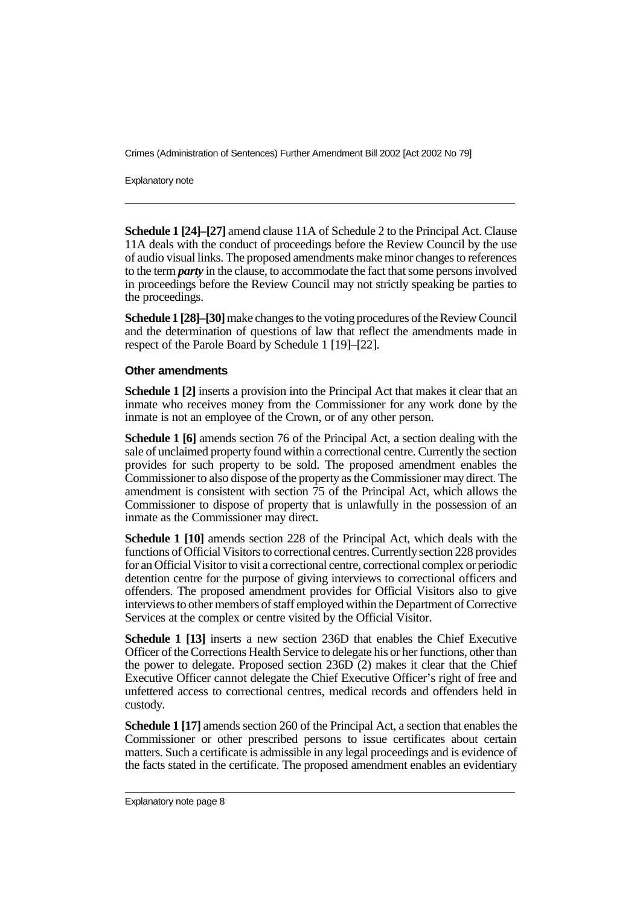Explanatory note

**Schedule 1 [24]–[27]** amend clause 11A of Schedule 2 to the Principal Act. Clause 11A deals with the conduct of proceedings before the Review Council by the use of audio visual links. The proposed amendments make minor changes to references to the term *party* in the clause, to accommodate the fact that some persons involved in proceedings before the Review Council may not strictly speaking be parties to the proceedings.

**Schedule 1 [28]–[30]**make changes to the voting procedures of the Review Council and the determination of questions of law that reflect the amendments made in respect of the Parole Board by Schedule 1 [19]–[22].

#### **Other amendments**

**Schedule 1 [2]** inserts a provision into the Principal Act that makes it clear that an inmate who receives money from the Commissioner for any work done by the inmate is not an employee of the Crown, or of any other person.

**Schedule 1 [6]** amends section 76 of the Principal Act, a section dealing with the sale of unclaimed property found within a correctional centre. Currently the section provides for such property to be sold. The proposed amendment enables the Commissioner to also dispose of the property as the Commissioner may direct. The amendment is consistent with section 75 of the Principal Act, which allows the Commissioner to dispose of property that is unlawfully in the possession of an inmate as the Commissioner may direct.

**Schedule 1 [10]** amends section 228 of the Principal Act, which deals with the functions of Official Visitors to correctional centres. Currentlysection 228 provides for an Official Visitor to visit a correctional centre, correctional complex or periodic detention centre for the purpose of giving interviews to correctional officers and offenders. The proposed amendment provides for Official Visitors also to give interviews to other members of staff employed within the Department of Corrective Services at the complex or centre visited by the Official Visitor.

**Schedule 1 [13]** inserts a new section 236D that enables the Chief Executive Officer of the Corrections Health Service to delegate his or her functions, other than the power to delegate. Proposed section 236D (2) makes it clear that the Chief Executive Officer cannot delegate the Chief Executive Officer's right of free and unfettered access to correctional centres, medical records and offenders held in custody.

**Schedule 1 [17]** amends section 260 of the Principal Act, a section that enables the Commissioner or other prescribed persons to issue certificates about certain matters. Such a certificate is admissible in any legal proceedings and is evidence of the facts stated in the certificate. The proposed amendment enables an evidentiary